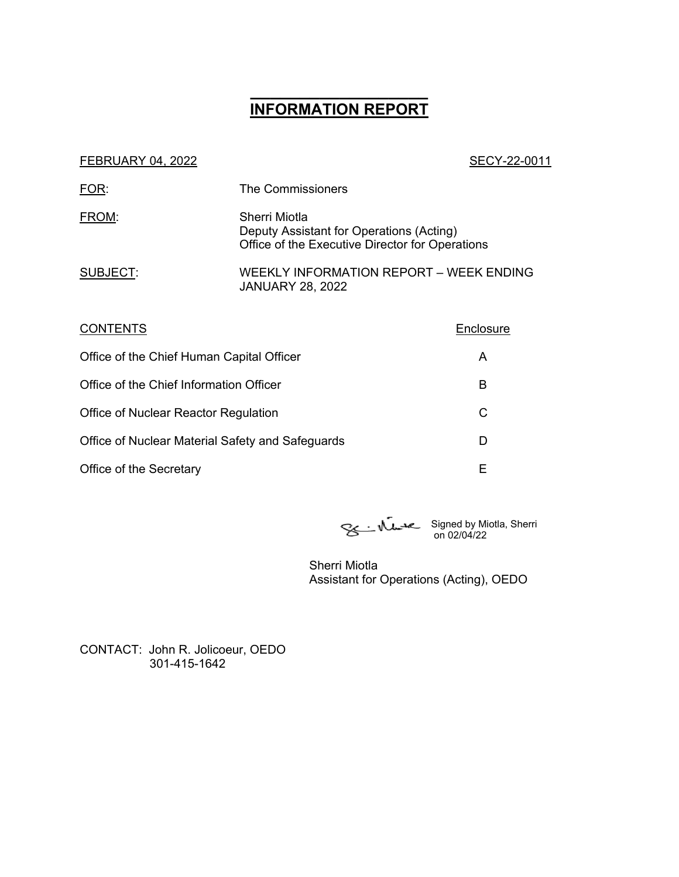# **\_\_\_\_\_\_\_\_\_\_\_\_\_\_\_\_\_\_ INFORMATION REPORT**

#### FEBRUARY 04, 2022 2001 120 2001 120 2002 2004 2006 2007 2008 2009 2011

| The Commissioners                                                                                            |
|--------------------------------------------------------------------------------------------------------------|
| Sherri Miotla<br>Deputy Assistant for Operations (Acting)<br>Office of the Executive Director for Operations |
| WEEKLY INFORMATION REPORT - WEEK ENDING<br><b>JANUARY 28, 2022</b>                                           |
|                                                                                                              |

| <b>CONTENTS</b>                                  | Enclosure |
|--------------------------------------------------|-----------|
| Office of the Chief Human Capital Officer        | A         |
| Office of the Chief Information Officer          | в         |
| Office of Nuclear Reactor Regulation             | С         |
| Office of Nuclear Material Safety and Safeguards | D         |
| Office of the Secretary                          | Е         |

Signed by Miotla, Sherri on 02/04/22

Sherri Miotla Assistant for Operations (Acting), OEDO

CONTACT: John R. Jolicoeur, OEDO 301-415-1642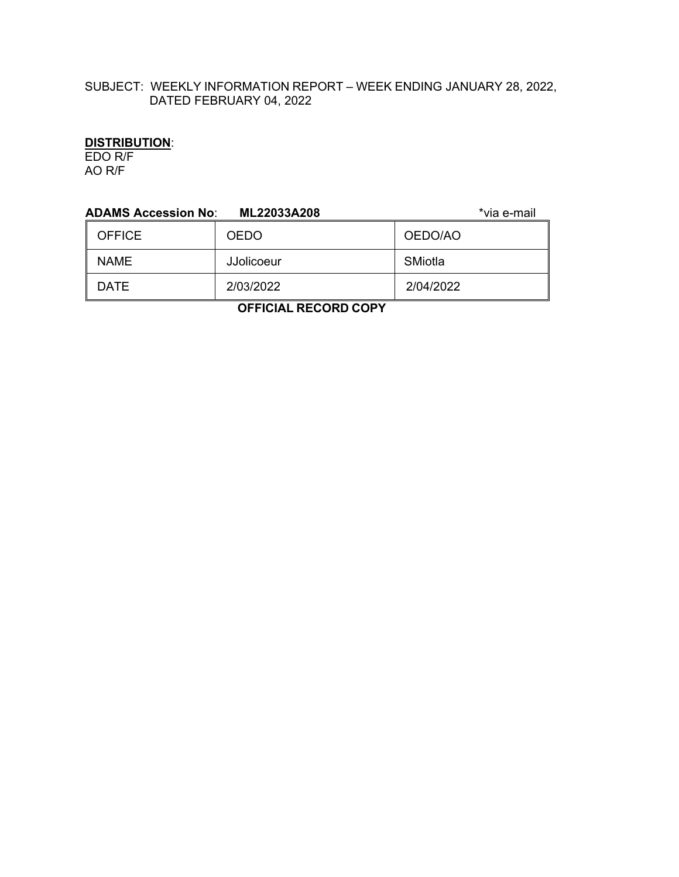## SUBJECT: WEEKLY INFORMATION REPORT – WEEK ENDING JANUARY 28, 2022, DATED FEBRUARY 04, 2022

## **DISTRIBUTION**:

EDO R/F AO R/F

| <b>ADAMS Accession No:</b> | ML22033A208       | *via e-mail |  |
|----------------------------|-------------------|-------------|--|
| <b>OFFICE</b>              | <b>OEDO</b>       | OEDO/AO     |  |
| <b>NAME</b>                | <b>JJolicoeur</b> | SMiotla     |  |
| <b>DATE</b>                | 2/03/2022         | 2/04/2022   |  |
| ------                     |                   |             |  |

 **OFFICIAL RECORD COPY**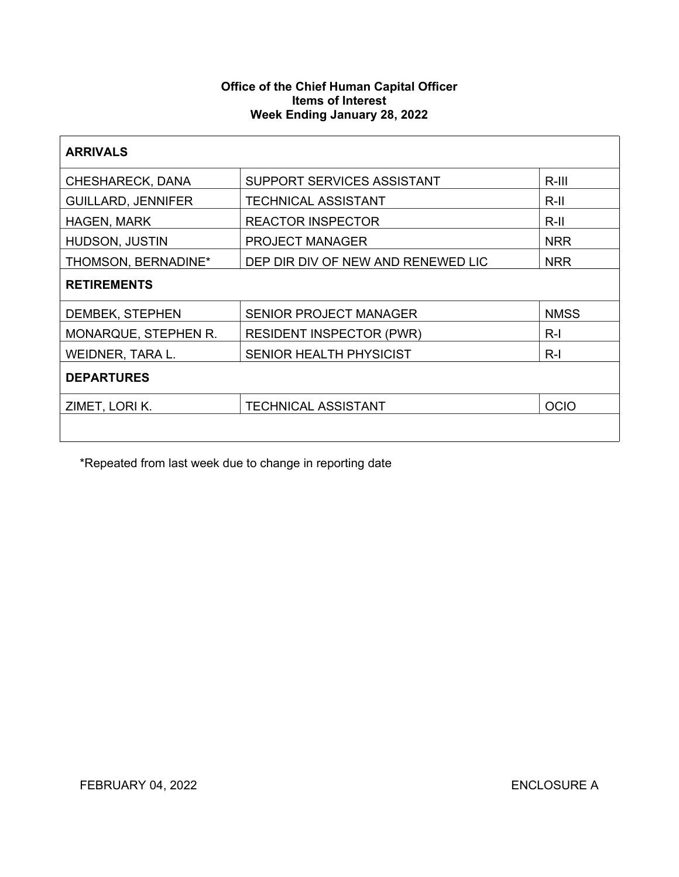## **Office of the Chief Human Capital Officer Items of Interest Week Ending January 28, 2022**

| <b>ARRIVALS</b>           |                                    |             |
|---------------------------|------------------------------------|-------------|
| <b>CHESHARECK, DANA</b>   | SUPPORT SERVICES ASSISTANT         | R-III       |
| <b>GUILLARD, JENNIFER</b> | <b>TECHNICAL ASSISTANT</b>         | R-II        |
| <b>HAGEN, MARK</b>        | <b>REACTOR INSPECTOR</b>           | $R$ -II     |
| HUDSON, JUSTIN            | <b>PROJECT MANAGER</b>             | <b>NRR</b>  |
| THOMSON, BERNADINE*       | DEP DIR DIV OF NEW AND RENEWED LIC | <b>NRR</b>  |
| <b>RETIREMENTS</b>        |                                    |             |
| DEMBEK, STEPHEN           | <b>SENIOR PROJECT MANAGER</b>      | <b>NMSS</b> |
| MONARQUE, STEPHEN R.      | <b>RESIDENT INSPECTOR (PWR)</b>    | $R-I$       |
| WEIDNER, TARA L.          | <b>SENIOR HEALTH PHYSICIST</b>     | $R-I$       |
| <b>DEPARTURES</b>         |                                    |             |
| ZIMET, LORI K.            | <b>TECHNICAL ASSISTANT</b>         | <b>OCIO</b> |
|                           |                                    |             |

\*Repeated from last week due to change in reporting date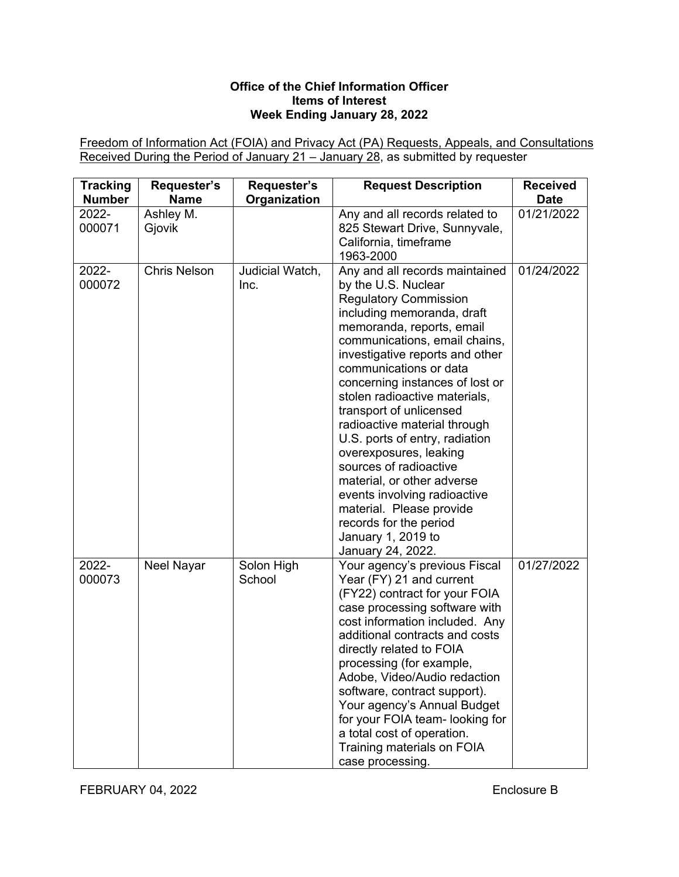## **Office of the Chief Information Officer Items of Interest Week Ending January 28, 2022**

Freedom of Information Act (FOIA) and Privacy Act (PA) Requests, Appeals, and Consultations Received During the Period of January 21 – January 28, as submitted by requester

| <b>Tracking</b><br><b>Number</b> | Requester's<br><b>Name</b> | Requester's<br>Organization | <b>Request Description</b>                                                                                                                                                                                                                                                                                                                                                                                                                                                                                                                                                                                                         | <b>Received</b><br><b>Date</b> |
|----------------------------------|----------------------------|-----------------------------|------------------------------------------------------------------------------------------------------------------------------------------------------------------------------------------------------------------------------------------------------------------------------------------------------------------------------------------------------------------------------------------------------------------------------------------------------------------------------------------------------------------------------------------------------------------------------------------------------------------------------------|--------------------------------|
| 2022-<br>000071                  | Ashley M.<br>Gjovik        |                             | Any and all records related to<br>825 Stewart Drive, Sunnyvale,<br>California, timeframe<br>1963-2000                                                                                                                                                                                                                                                                                                                                                                                                                                                                                                                              | 01/21/2022                     |
| 2022-<br>000072                  | <b>Chris Nelson</b>        | Judicial Watch,<br>Inc.     | Any and all records maintained<br>by the U.S. Nuclear<br><b>Regulatory Commission</b><br>including memoranda, draft<br>memoranda, reports, email<br>communications, email chains,<br>investigative reports and other<br>communications or data<br>concerning instances of lost or<br>stolen radioactive materials,<br>transport of unlicensed<br>radioactive material through<br>U.S. ports of entry, radiation<br>overexposures, leaking<br>sources of radioactive<br>material, or other adverse<br>events involving radioactive<br>material. Please provide<br>records for the period<br>January 1, 2019 to<br>January 24, 2022. | 01/24/2022                     |
| 2022-<br>000073                  | <b>Neel Nayar</b>          | Solon High<br>School        | Your agency's previous Fiscal<br>Year (FY) 21 and current<br>(FY22) contract for your FOIA<br>case processing software with<br>cost information included. Any<br>additional contracts and costs<br>directly related to FOIA<br>processing (for example,<br>Adobe, Video/Audio redaction<br>software, contract support).<br>Your agency's Annual Budget<br>for your FOIA team- looking for<br>a total cost of operation.<br>Training materials on FOIA<br>case processing.                                                                                                                                                          | 01/27/2022                     |

FEBRUARY 04, 2022 **Enclosure B**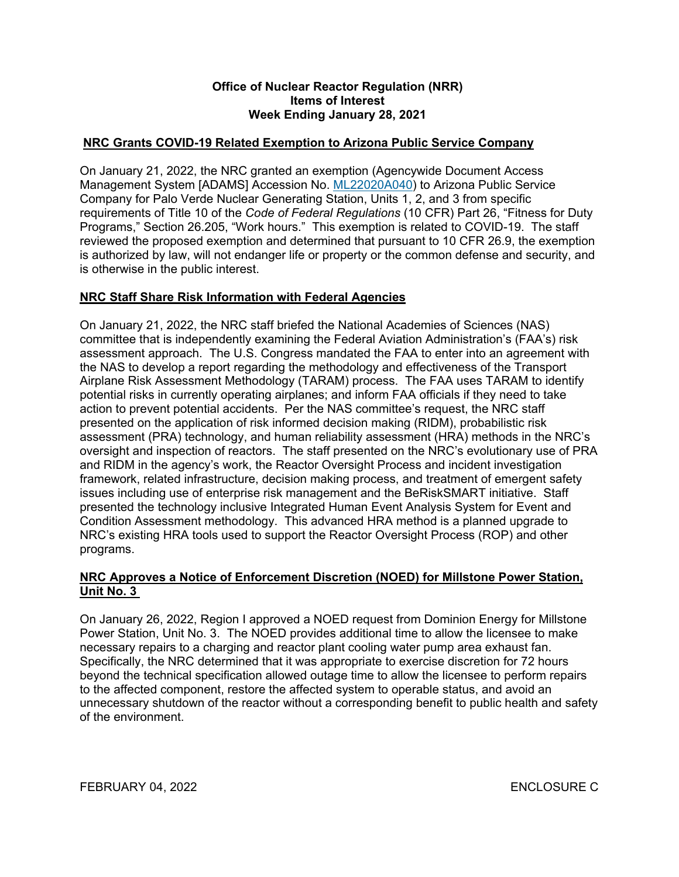### **Office of Nuclear Reactor Regulation (NRR) Items of Interest Week Ending January 28, 2021**

## **NRC Grants COVID-19 Related Exemption to Arizona Public Service Company**

On January 21, 2022, the NRC granted an exemption (Agencywide Document Access Management System [ADAMS] Accession No. [ML22020A040](https://adamsxt.nrc.gov/navigator/AdamsXT/content/downloadContent.faces?objectStoreName=MainLibrary&vsId=%7bF8052AFD-2BAC-C49B-AF34-7E7786400000%7d&ForceBrowserDownloadMgrPrompt=false)) to Arizona Public Service Company for Palo Verde Nuclear Generating Station, Units 1, 2, and 3 from specific requirements of Title 10 of the *Code of Federal Regulations* (10 CFR) Part 26, "Fitness for Duty Programs," Section 26.205, "Work hours." This exemption is related to COVID-19. The staff reviewed the proposed exemption and determined that pursuant to 10 CFR 26.9, the exemption is authorized by law, will not endanger life or property or the common defense and security, and is otherwise in the public interest.

## **NRC Staff Share Risk Information with Federal Agencies**

On January 21, 2022, the NRC staff briefed the National Academies of Sciences (NAS) committee that is independently examining the Federal Aviation Administration's (FAA's) risk assessment approach. The U.S. Congress mandated the FAA to enter into an agreement with the NAS to develop a report regarding the methodology and effectiveness of the Transport Airplane Risk Assessment Methodology (TARAM) process. The FAA uses TARAM to identify potential risks in currently operating airplanes; and inform FAA officials if they need to take action to prevent potential accidents. Per the NAS committee's request, the NRC staff presented on the application of risk informed decision making (RIDM), probabilistic risk assessment (PRA) technology, and human reliability assessment (HRA) methods in the NRC's oversight and inspection of reactors. The staff presented on the NRC's evolutionary use of PRA and RIDM in the agency's work, the Reactor Oversight Process and incident investigation framework, related infrastructure, decision making process, and treatment of emergent safety issues including use of enterprise risk management and the BeRiskSMART initiative. Staff presented the technology inclusive Integrated Human Event Analysis System for Event and Condition Assessment methodology. This advanced HRA method is a planned upgrade to NRC's existing HRA tools used to support the Reactor Oversight Process (ROP) and other programs.

## **NRC Approves a Notice of Enforcement Discretion (NOED) for Millstone Power Station, Unit No. 3**

On January 26, 2022, Region I approved a NOED request from Dominion Energy for Millstone Power Station, Unit No. 3. The NOED provides additional time to allow the licensee to make necessary repairs to a charging and reactor plant cooling water pump area exhaust fan. Specifically, the NRC determined that it was appropriate to exercise discretion for 72 hours beyond the technical specification allowed outage time to allow the licensee to perform repairs to the affected component, restore the affected system to operable status, and avoid an unnecessary shutdown of the reactor without a corresponding benefit to public health and safety of the environment.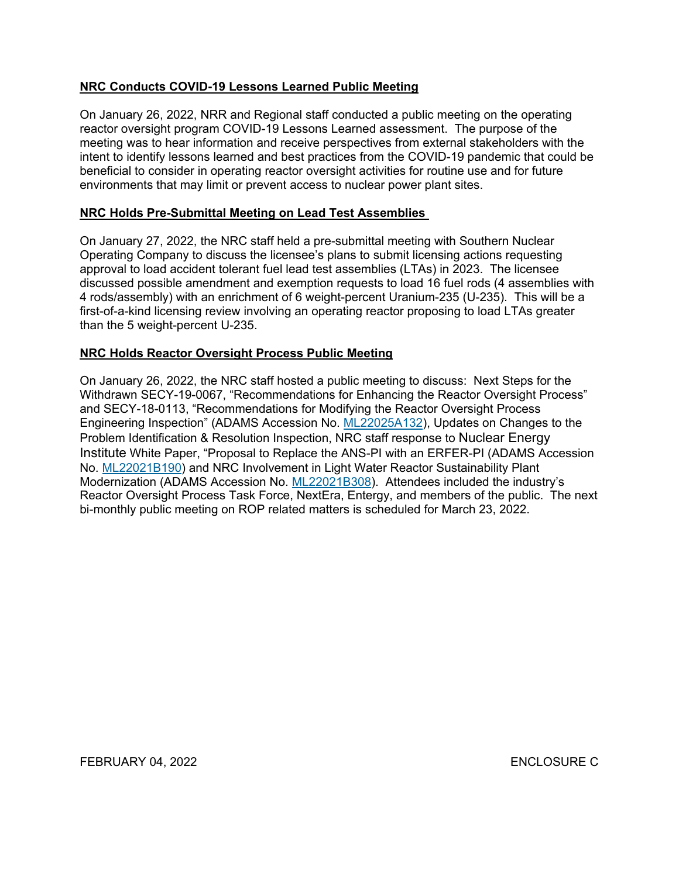## **NRC Conducts COVID-19 Lessons Learned Public Meeting**

On January 26, 2022, NRR and Regional staff conducted a public meeting on the operating reactor oversight program COVID-19 Lessons Learned assessment. The purpose of the meeting was to hear information and receive perspectives from external stakeholders with the intent to identify lessons learned and best practices from the COVID-19 pandemic that could be beneficial to consider in operating reactor oversight activities for routine use and for future environments that may limit or prevent access to nuclear power plant sites.

## **NRC Holds Pre-Submittal Meeting on Lead Test Assemblies**

On January 27, 2022, the NRC staff held a pre-submittal meeting with Southern Nuclear Operating Company to discuss the licensee's plans to submit licensing actions requesting approval to load accident tolerant fuel lead test assemblies (LTAs) in 2023. The licensee discussed possible amendment and exemption requests to load 16 fuel rods (4 assemblies with 4 rods/assembly) with an enrichment of 6 weight-percent Uranium-235 (U-235). This will be a first-of-a-kind licensing review involving an operating reactor proposing to load LTAs greater than the 5 weight-percent U-235.

## **NRC Holds Reactor Oversight Process Public Meeting**

On January 26, 2022, the NRC staff hosted a public meeting to discuss: Next Steps for the Withdrawn SECY-19-0067, "Recommendations for Enhancing the Reactor Oversight Process" and SECY-18-0113, "Recommendations for Modifying the Reactor Oversight Process Engineering Inspection" (ADAMS Accession No. [ML22025A132](https://adamsxt.nrc.gov/navigator/AdamsXT/content/downloadContent.faces?objectStoreName=MainLibrary&vsId=%7b3C3077AE-28D4-C465-846B-7E91A8700000%7d&ForceBrowserDownloadMgrPrompt=false)), Updates on Changes to the Problem Identification & Resolution Inspection, NRC staff response to Nuclear Energy Institute White Paper, "Proposal to Replace the ANS-PI with an ERFER-PI (ADAMS Accession No. [ML22021B190\)](https://adamsxt.nrc.gov/navigator/AdamsXT/content/downloadContent.faces?objectStoreName=MainLibrary&vsId=%7bCC79D360-1D57-C770-84CB-7E7D5DD00000%7d&ForceBrowserDownloadMgrPrompt=false) and NRC Involvement in Light Water Reactor Sustainability Plant Modernization (ADAMS Accession No. [ML22021B308\)](https://adamsxt.nrc.gov/navigator/AdamsXT/content/downloadContent.faces?objectStoreName=MainLibrary&vsId=%7b8E83FD91-A3BD-CEAB-858E-7E7DAC200000%7d&ForceBrowserDownloadMgrPrompt=false). Attendees included the industry's Reactor Oversight Process Task Force, NextEra, Entergy, and members of the public. The next bi-monthly public meeting on ROP related matters is scheduled for March 23, 2022.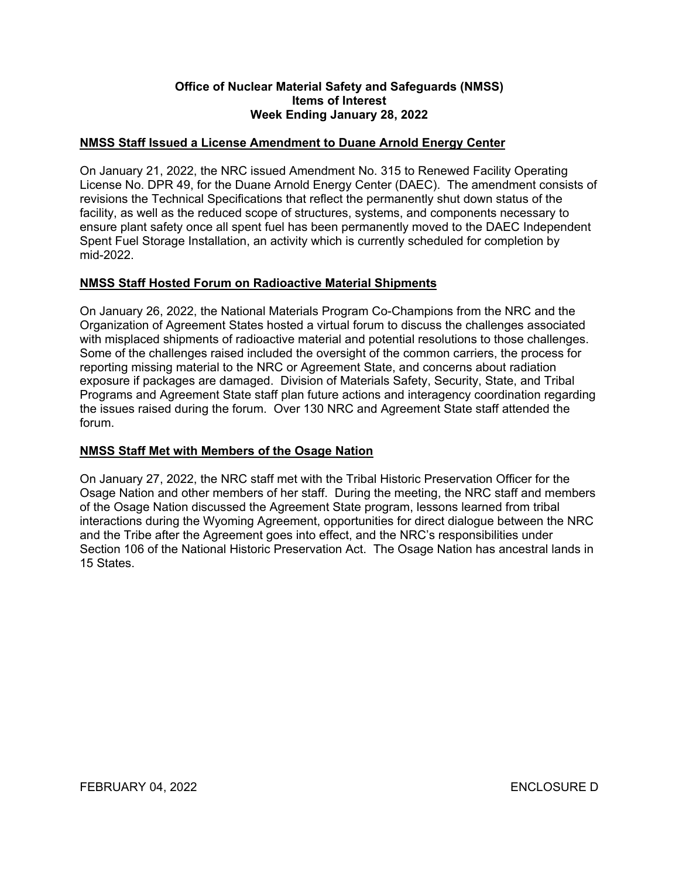### **Office of Nuclear Material Safety and Safeguards (NMSS) Items of Interest Week Ending January 28, 2022**

## **NMSS Staff Issued a License Amendment to Duane Arnold Energy Center**

On January 21, 2022, the NRC issued Amendment No. 315 to Renewed Facility Operating License No. DPR 49, for the Duane Arnold Energy Center (DAEC). The amendment consists of revisions the Technical Specifications that reflect the permanently shut down status of the facility, as well as the reduced scope of structures, systems, and components necessary to ensure plant safety once all spent fuel has been permanently moved to the DAEC Independent Spent Fuel Storage Installation, an activity which is currently scheduled for completion by mid-2022.

## **NMSS Staff Hosted Forum on Radioactive Material Shipments**

On January 26, 2022, the National Materials Program Co-Champions from the NRC and the Organization of Agreement States hosted a virtual forum to discuss the challenges associated with misplaced shipments of radioactive material and potential resolutions to those challenges. Some of the challenges raised included the oversight of the common carriers, the process for reporting missing material to the NRC or Agreement State, and concerns about radiation exposure if packages are damaged. Division of Materials Safety, Security, State, and Tribal Programs and Agreement State staff plan future actions and interagency coordination regarding the issues raised during the forum. Over 130 NRC and Agreement State staff attended the forum.

## **NMSS Staff Met with Members of the Osage Nation**

On January 27, 2022, the NRC staff met with the Tribal Historic Preservation Officer for the Osage Nation and other members of her staff. During the meeting, the NRC staff and members of the Osage Nation discussed the Agreement State program, lessons learned from tribal interactions during the Wyoming Agreement, opportunities for direct dialogue between the NRC and the Tribe after the Agreement goes into effect, and the NRC's responsibilities under Section 106 of the National Historic Preservation Act. The Osage Nation has ancestral lands in 15 States.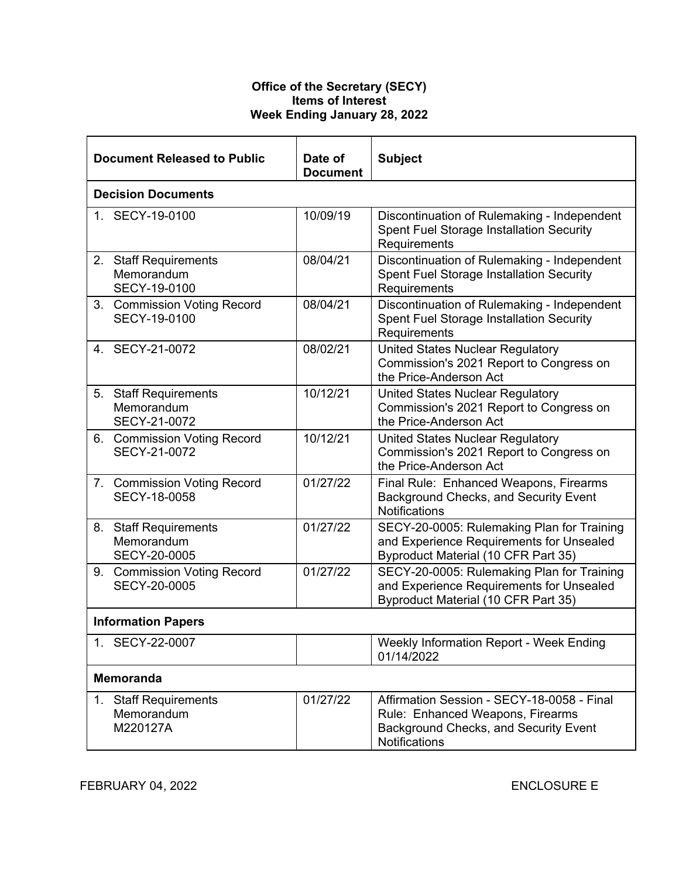### **Office of the Secretary (SECY) Items of Interest Week Ending January 28, 2022**

| <b>Document Released to Public</b>                                   | Date of<br><b>Document</b> | <b>Subject</b>                                                                                                                           |  |
|----------------------------------------------------------------------|----------------------------|------------------------------------------------------------------------------------------------------------------------------------------|--|
| <b>Decision Documents</b>                                            |                            |                                                                                                                                          |  |
| 1. SECY-19-0100                                                      | 10/09/19                   | Discontinuation of Rulemaking - Independent<br><b>Spent Fuel Storage Installation Security</b><br>Requirements                           |  |
| <b>Staff Requirements</b><br>2.<br>Memorandum<br>SECY-19-0100        | 08/04/21                   | Discontinuation of Rulemaking - Independent<br><b>Spent Fuel Storage Installation Security</b><br>Requirements                           |  |
| 3. Commission Voting Record<br>SECY-19-0100                          | 08/04/21                   | Discontinuation of Rulemaking - Independent<br><b>Spent Fuel Storage Installation Security</b><br>Requirements                           |  |
| 4. SECY-21-0072                                                      | 08/02/21                   | <b>United States Nuclear Regulatory</b><br>Commission's 2021 Report to Congress on<br>the Price-Anderson Act                             |  |
| 5. Staff Requirements<br>Memorandum<br>SECY-21-0072                  | 10/12/21                   | <b>United States Nuclear Regulatory</b><br>Commission's 2021 Report to Congress on<br>the Price-Anderson Act                             |  |
| 6. Commission Voting Record<br>SECY-21-0072                          | 10/12/21                   | United States Nuclear Regulatory<br>Commission's 2021 Report to Congress on<br>the Price-Anderson Act                                    |  |
| 7. Commission Voting Record<br><b>SECY-18-0058</b>                   | 01/27/22                   | Final Rule: Enhanced Weapons, Firearms<br><b>Background Checks, and Security Event</b><br>Notifications                                  |  |
| <b>Staff Requirements</b><br>8.<br>Memorandum<br><b>SECY-20-0005</b> | 01/27/22                   | SECY-20-0005: Rulemaking Plan for Training<br>and Experience Requirements for Unsealed<br>Byproduct Material (10 CFR Part 35)            |  |
| 9. Commission Voting Record<br><b>SECY-20-0005</b>                   | 01/27/22                   | SECY-20-0005: Rulemaking Plan for Training<br>and Experience Requirements for Unsealed<br><b>Byproduct Material (10 CFR Part 35)</b>     |  |
| <b>Information Papers</b>                                            |                            |                                                                                                                                          |  |
| 1. SECY-22-0007                                                      |                            | Weekly Information Report - Week Ending<br>01/14/2022                                                                                    |  |
| <b>Memoranda</b>                                                     |                            |                                                                                                                                          |  |
| <b>Staff Requirements</b><br>1.<br>Memorandum<br>M220127A            | 01/27/22                   | Affirmation Session - SECY-18-0058 - Final<br>Rule: Enhanced Weapons, Firearms<br>Background Checks, and Security Event<br>Notifications |  |